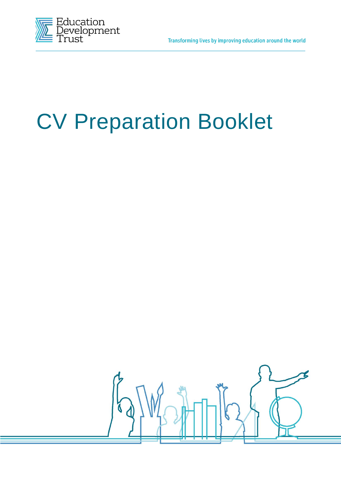

# CV Preparation Booklet

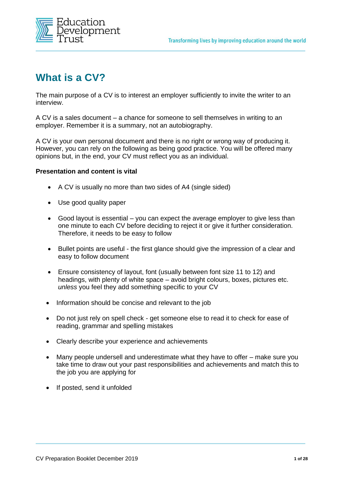

## **What is a CV?**

The main purpose of a CV is to interest an employer sufficiently to invite the writer to an interview.

A CV is a sales document – a chance for someone to sell themselves in writing to an employer. Remember it is a summary, not an autobiography.

A CV is your own personal document and there is no right or wrong way of producing it. However, you can rely on the following as being good practice. You will be offered many opinions but, in the end, your CV must reflect you as an individual.

#### **Presentation and content is vital**

- A CV is usually no more than two sides of A4 (single sided)
- Use good quality paper
- Good layout is essential you can expect the average employer to give less than one minute to each CV before deciding to reject it or give it further consideration. Therefore, it needs to be easy to follow
- Bullet points are useful the first glance should give the impression of a clear and easy to follow document
- Ensure consistency of layout, font (usually between font size 11 to 12) and headings, with plenty of white space – avoid bright colours, boxes, pictures etc. *unless* you feel they add something specific to your CV
- Information should be concise and relevant to the job
- Do not just rely on spell check get someone else to read it to check for ease of reading, grammar and spelling mistakes
- Clearly describe your experience and achievements
- Many people undersell and underestimate what they have to offer make sure you take time to draw out your past responsibilities and achievements and match this to the job you are applying for
- If posted, send it unfolded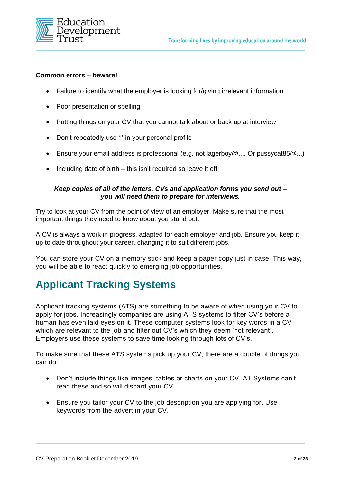

#### **Common errors – beware!**

- Failure to identify what the employer is looking for/giving irrelevant information
- Poor presentation or spelling
- Putting things on your CV that you cannot talk about or back up at interview
- Don't repeatedly use 'I' in your personal profile
- Ensure your email address is professional (e.g. not lagerboy@.... Or pussycat85@...)
- Including date of birth this isn't required so leave it off

#### *Keep copies of all of the letters, CVs and application forms you send out – you will need them to prepare for interviews.*

Try to look at your CV from the point of view of an employer. Make sure that the most important things they need to know about you stand out.

A CV is always a work in progress, adapted for each employer and job. Ensure you keep it up to date throughout your career, changing it to suit different jobs.

You can store your CV on a memory stick and keep a paper copy just in case. This way, you will be able to react quickly to emerging job opportunities.

## **Applicant Tracking Systems**

Applicant tracking systems (ATS) are something to be aware of when using your CV to apply for jobs. Increasingly companies are using ATS systems to filter CV's before a human has even laid eyes on it. These computer systems look for key words in a CV which are relevant to the job and filter out CV's which they deem 'not relevant'. Employers use these systems to save time looking through lots of CV's.

To make sure that these ATS systems pick up your CV, there are a couple of things you can do:

- Don't include things like images, tables or charts on your CV. AT Systems can't read these and so will discard your CV.
- Ensure you tailor your CV to the job description you are applying for. Use keywords from the advert in your CV.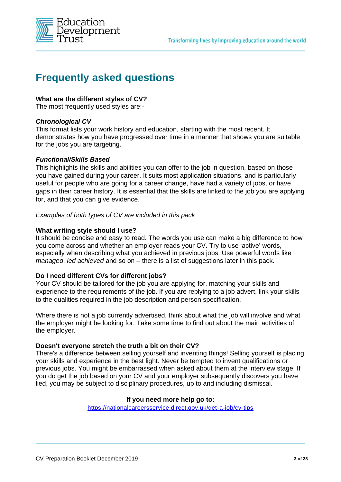

## **Frequently asked questions**

#### **What are the different styles of CV?**

The most frequently used styles are:-

#### *Chronological CV*

This format lists your work history and education, starting with the most recent. It demonstrates how you have progressed over time in a manner that shows you are suitable for the jobs you are targeting.

#### *Functional/Skills Based*

This highlights the skills and abilities you can offer to the job in question, based on those you have gained during your career. It suits most application situations, and is particularly useful for people who are going for a career change, have had a variety of jobs, or have gaps in their career history. It is essential that the skills are linked to the job you are applying for, and that you can give evidence.

#### *Examples of both types of CV are included in this pack*

#### **What writing style should l use?**

It should be concise and easy to read. The words you use can make a big difference to how you come across and whether an employer reads your CV. Try to use 'active' words, especially when describing what you achieved in previous jobs. Use powerful words like *managed*, *led achieved* and so on – there is a list of suggestions later in this pack.

#### **Do I need different CVs for different jobs?**

Your CV should be tailored for the job you are applying for, matching your skills and experience to the requirements of the job. If you are replying to a job advert, link your skills to the qualities required in the job description and person specification.

Where there is not a job currently advertised, think about what the job will involve and what the employer might be looking for. Take some time to find out about the main activities of the employer.

#### **Doesn't everyone stretch the truth a bit on their CV?**

There's a difference between selling yourself and inventing things! Selling yourself is placing your skills and experience in the best light. Never be tempted to invent qualifications or previous jobs. You might be embarrassed when asked about them at the interview stage. If you do get the job based on your CV and your employer subsequently discovers you have lied, you may be subject to disciplinary procedures, up to and including dismissal.

#### **If you need more help go to:**

<https://nationalcareersservice.direct.gov.uk/get-a-job/cv-tips>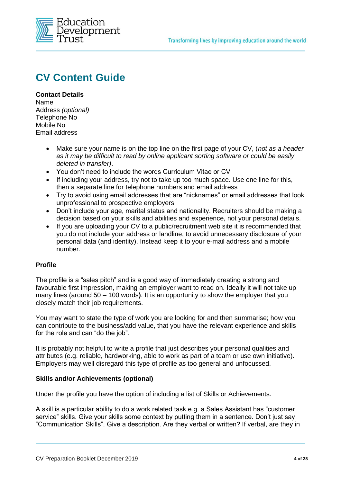

## **CV Content Guide**

#### **Contact Details**  Name Address *(optional)*  Telephone No Mobile No Email address

- Make sure your name is on the top line on the first page of your CV, (*not as a header as it may be difficult to read by online applicant sorting software or could be easily deleted in transfer)*.
- You don't need to include the words Curriculum Vitae or CV
- If including your address, try not to take up too much space. Use one line for this, then a separate line for telephone numbers and email address
- Try to avoid using email addresses that are "nicknames" or email addresses that look unprofessional to prospective employers
- Don't include your age, marital status and nationality. Recruiters should be making a decision based on your skills and abilities and experience, not your personal details.
- If you are uploading your CV to a public/recruitment web site it is recommended that you do not include your address or landline, to avoid unnecessary disclosure of your personal data (and identity). Instead keep it to your e-mail address and a mobile number.

#### **Profile**

The profile is a "sales pitch" and is a good way of immediately creating a strong and favourable first impression, making an employer want to read on. Ideally it will not take up many lines (around 50 – 100 words**)**. It is an opportunity to show the employer that you closely match their job requirements.

You may want to state the type of work you are looking for and then summarise; how you can contribute to the business/add value, that you have the relevant experience and skills for the role and can "do the job".

It is probably not helpful to write a profile that just describes your personal qualities and attributes (e.g. reliable, hardworking, able to work as part of a team or use own initiative). Employers may well disregard this type of profile as too general and unfocussed.

#### **Skills and/or Achievements (optional)**

Under the profile you have the option of including a list of Skills or Achievements.

A skill is a particular ability to do a work related task e.g. a Sales Assistant has "customer service" skills. Give your skills some context by putting them in a sentence. Don't just say "Communication Skills". Give a description. Are they verbal or written? If verbal, are they in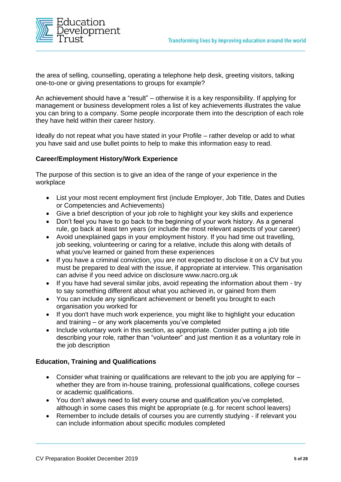

the area of selling, counselling, operating a telephone help desk, greeting visitors, talking one-to-one or giving presentations to groups for example?

An achievement should have a "result" – otherwise it is a key responsibility. If applying for management or business development roles a list of key achievements illustrates the value you can bring to a company. Some people incorporate them into the description of each role they have held within their career history.

Ideally do not repeat what you have stated in your Profile – rather develop or add to what you have said and use bullet points to help to make this information easy to read.

#### **Career/Employment History/Work Experience**

The purpose of this section is to give an idea of the range of your experience in the workplace

- List your most recent employment first (include Employer, Job Title, Dates and Duties or Competencies and Achievements)
- Give a brief description of your job role to highlight your key skills and experience
- Don't feel you have to go back to the beginning of your work history. As a general rule, go back at least ten years (or include the most relevant aspects of your career)
- Avoid unexplained gaps in your employment history. If you had time out travelling, job seeking, volunteering or caring for a relative, include this along with details of what you've learned or gained from these experiences
- If you have a criminal conviction, you are not expected to disclose it on a CV but you must be prepared to deal with the issue, if appropriate at interview. This organisation can advise if you need advice on disclosure www.nacro.org.uk
- If you have had several similar jobs, avoid repeating the information about them try to say something different about what you achieved in, or gained from them
- You can include any significant achievement or benefit you brought to each organisation you worked for
- If you don't have much work experience, you might like to highlight your education and training – or any work placements you've completed
- Include voluntary work in this section, as appropriate. Consider putting a job title describing your role, rather than "volunteer" and just mention it as a voluntary role in the job description

#### **Education, Training and Qualifications**

- Consider what training or qualifications are relevant to the job you are applying for whether they are from in-house training, professional qualifications, college courses or academic qualifications.
- You don't always need to list every course and qualification you've completed, although in some cases this might be appropriate (e.g. for recent school leavers)
- Remember to include details of courses you are currently studying if relevant you can include information about specific modules completed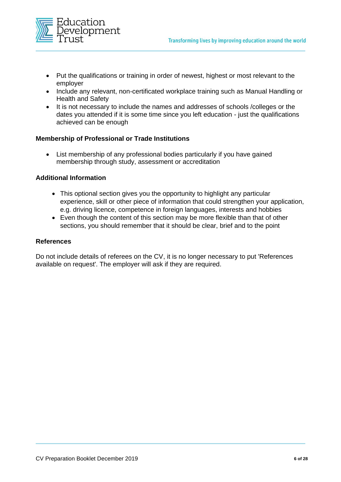

- Put the qualifications or training in order of newest, highest or most relevant to the employer
- Include any relevant, non-certificated workplace training such as Manual Handling or Health and Safety
- It is not necessary to include the names and addresses of schools /colleges or the dates you attended if it is some time since you left education - just the qualifications achieved can be enough

#### **Membership of Professional or Trade Institutions**

• List membership of any professional bodies particularly if you have gained membership through study, assessment or accreditation

#### **Additional Information**

- This optional section gives you the opportunity to highlight any particular experience, skill or other piece of information that could strengthen your application, e.g. driving licence, competence in foreign languages, interests and hobbies
- Even though the content of this section may be more flexible than that of other sections, you should remember that it should be clear, brief and to the point

#### **References**

Do not include details of referees on the CV, it is no longer necessary to put 'References available on request'. The employer will ask if they are required.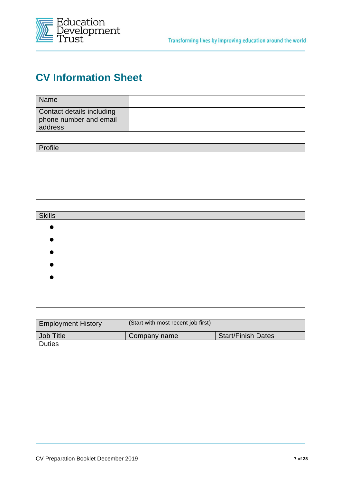



## **CV Information Sheet**

| Name                                                           |  |
|----------------------------------------------------------------|--|
| Contact details including<br>phone number and email<br>address |  |

| Profile |  |  |
|---------|--|--|
|         |  |  |
|         |  |  |
|         |  |  |
|         |  |  |
|         |  |  |

| <b>Skills</b> |  |  |
|---------------|--|--|
|               |  |  |
|               |  |  |
|               |  |  |
|               |  |  |
|               |  |  |
|               |  |  |

| <b>Employment History</b> | (Start with most recent job first) |                           |
|---------------------------|------------------------------------|---------------------------|
| Job Title                 | Company name                       | <b>Start/Finish Dates</b> |
| <b>Duties</b>             |                                    |                           |
|                           |                                    |                           |
|                           |                                    |                           |
|                           |                                    |                           |
|                           |                                    |                           |
|                           |                                    |                           |
|                           |                                    |                           |
|                           |                                    |                           |
|                           |                                    |                           |
|                           |                                    |                           |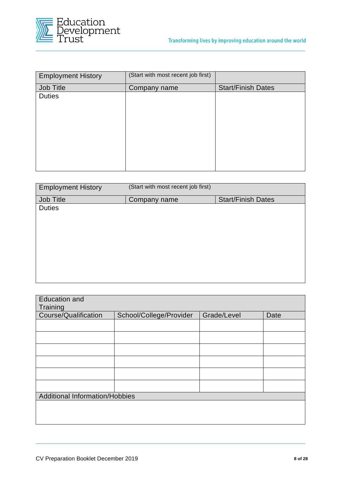

| <b>Employment History</b> | (Start with most recent job first) |                           |
|---------------------------|------------------------------------|---------------------------|
| Job Title                 | Company name                       | <b>Start/Finish Dates</b> |
| <b>Duties</b>             |                                    |                           |
|                           |                                    |                           |

| <b>Employment History</b> | (Start with most recent job first) |                           |
|---------------------------|------------------------------------|---------------------------|
| Job Title                 | Company name                       | <b>Start/Finish Dates</b> |
| <b>Duties</b>             |                                    |                           |
|                           |                                    |                           |
|                           |                                    |                           |
|                           |                                    |                           |
|                           |                                    |                           |
|                           |                                    |                           |
|                           |                                    |                           |
|                           |                                    |                           |
|                           |                                    |                           |

| <b>Education and</b> |                                       |             |      |  |
|----------------------|---------------------------------------|-------------|------|--|
| Training             |                                       |             |      |  |
| Course/Qualification | School/College/Provider               | Grade/Level | Date |  |
|                      |                                       |             |      |  |
|                      |                                       |             |      |  |
|                      |                                       |             |      |  |
|                      |                                       |             |      |  |
|                      |                                       |             |      |  |
|                      |                                       |             |      |  |
|                      | <b>Additional Information/Hobbies</b> |             |      |  |
|                      |                                       |             |      |  |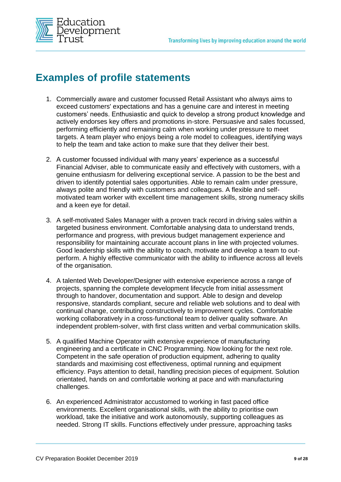

## **Examples of profile statements**

- 1. Commercially aware and customer focussed Retail Assistant who always aims to exceed customers' expectations and has a genuine care and interest in meeting customers' needs. Enthusiastic and quick to develop a strong product knowledge and actively endorses key offers and promotions in-store. Persuasive and sales focussed, performing efficiently and remaining calm when working under pressure to meet targets. A team player who enjoys being a role model to colleagues, identifying ways to help the team and take action to make sure that they deliver their best.
- 2. A customer focussed individual with many years' experience as a successful Financial Adviser, able to communicate easily and effectively with customers, with a genuine enthusiasm for delivering exceptional service. A passion to be the best and driven to identify potential sales opportunities. Able to remain calm under pressure, always polite and friendly with customers and colleagues. A flexible and selfmotivated team worker with excellent time management skills, strong numeracy skills and a keen eye for detail.
- 3. A self-motivated Sales Manager with a proven track record in driving sales within a targeted business environment. Comfortable analysing data to understand trends, performance and progress, with previous budget management experience and responsibility for maintaining accurate account plans in line with projected volumes. Good leadership skills with the ability to coach, motivate and develop a team to outperform. A highly effective communicator with the ability to influence across all levels of the organisation.
- 4. A talented Web Developer/Designer with extensive experience across a range of projects, spanning the complete development lifecycle from initial assessment through to handover, documentation and support. Able to design and develop responsive, standards compliant, secure and reliable web solutions and to deal with continual change, contributing constructively to improvement cycles. Comfortable working collaboratively in a cross-functional team to deliver quality software. An independent problem-solver, with first class written and verbal communication skills.
- 5. A qualified Machine Operator with extensive experience of manufacturing engineering and a certificate in CNC Programming. Now looking for the next role. Competent in the safe operation of production equipment, adhering to quality standards and maximising cost effectiveness, optimal running and equipment efficiency. Pays attention to detail, handling precision pieces of equipment. Solution orientated, hands on and comfortable working at pace and with manufacturing challenges.
- 6. An experienced Administrator accustomed to working in fast paced office environments. Excellent organisational skills, with the ability to prioritise own workload, take the initiative and work autonomously, supporting colleagues as needed. Strong IT skills. Functions effectively under pressure, approaching tasks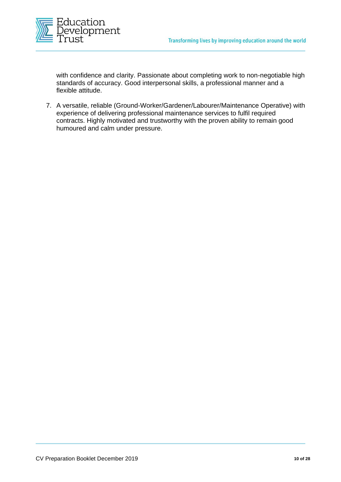

with confidence and clarity. Passionate about completing work to non-negotiable high standards of accuracy. Good interpersonal skills, a professional manner and a flexible attitude.

7. A versatile, reliable (Ground-Worker/Gardener/Labourer/Maintenance Operative) with experience of delivering professional maintenance services to fulfil required contracts. Highly motivated and trustworthy with the proven ability to remain good humoured and calm under pressure.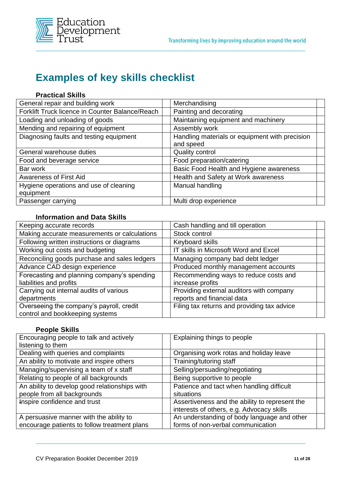

## **Examples of key skills checklist**

#### **Practical Skills**

| General repair and building work                | Merchandising                                  |
|-------------------------------------------------|------------------------------------------------|
| Forklift Truck licence in Counter Balance/Reach | Painting and decorating                        |
| Loading and unloading of goods                  | Maintaining equipment and machinery            |
| Mending and repairing of equipment              | Assembly work                                  |
| Diagnosing faults and testing equipment         | Handling materials or equipment with precision |
|                                                 | and speed                                      |
| General warehouse duties                        | Quality control                                |
| Food and beverage service                       | Food preparation/catering                      |
| Bar work                                        | Basic Food Health and Hygiene awareness        |
| <b>Awareness of First Aid</b>                   | Health and Safety at Work awareness            |
| Hygiene operations and use of cleaning          | Manual handling                                |
| equipment                                       |                                                |
| Passenger carrying                              | Multi drop experience                          |

#### **Information and Data Skills**

| Keeping accurate records                                                    | Cash handling and till operation                                       |
|-----------------------------------------------------------------------------|------------------------------------------------------------------------|
| Making accurate measurements or calculations                                | Stock control                                                          |
| Following written instructions or diagrams                                  | Keyboard skills                                                        |
| Working out costs and budgeting                                             | IT skills in Microsoft Word and Excel                                  |
| Reconciling goods purchase and sales ledgers                                | Managing company bad debt ledger                                       |
| Advance CAD design experience                                               | Produced monthly management accounts                                   |
| Forecasting and planning company's spending<br>liabilities and profits      | Recommending ways to reduce costs and<br>increase profits              |
| Carrying out internal audits of various<br>departments                      | Providing external auditors with company<br>reports and financial data |
| Overseeing the company's payroll, credit<br>control and bookkeeping systems | Filing tax returns and providing tax advice                            |

#### **People Skills**

| Encouraging people to talk and actively       | Explaining things to people                    |
|-----------------------------------------------|------------------------------------------------|
| listening to them                             |                                                |
| Dealing with queries and complaints           | Organising work rotas and holiday leave        |
| An ability to motivate and inspire others     | Training/tutoring staff                        |
| Managing/supervising a team of x staff        | Selling/persuading/negotiating                 |
| Relating to people of all backgrounds         | Being supportive to people                     |
| An ability to develop good relationships with | Patience and tact when handling difficult      |
| people from all backgrounds                   | situations                                     |
| Inspire confidence and trust                  | Assertiveness and the ability to represent the |
|                                               | interests of others, e.g. Advocacy skills      |
| A persuasive manner with the ability to       | An understanding of body language and other    |
| encourage patients to follow treatment plans  | forms of non-verbal communication              |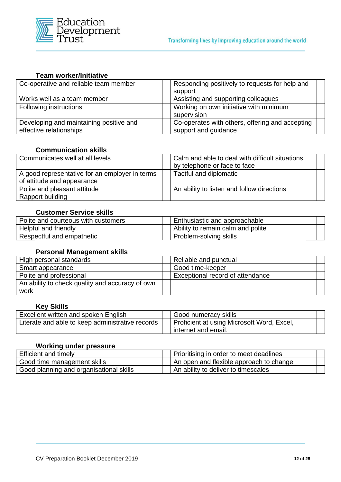

#### **Team worker/Initiative**

| Co-operative and reliable team member   | Responding positively to requests for help and<br>support |  |
|-----------------------------------------|-----------------------------------------------------------|--|
| Works well as a team member             | Assisting and supporting colleagues                       |  |
| Following instructions                  | Working on own initiative with minimum                    |  |
|                                         | supervision                                               |  |
| Developing and maintaining positive and | Co-operates with others, offering and accepting           |  |
| effective relationships                 | support and guidance                                      |  |

#### **Communication skills**

| Communicates well at all levels                                              | Calm and able to deal with difficult situations,<br>by telephone or face to face |  |
|------------------------------------------------------------------------------|----------------------------------------------------------------------------------|--|
| A good representative for an employer in terms<br>of attitude and appearance | Tactful and diplomatic                                                           |  |
| Polite and pleasant attitude                                                 | An ability to listen and follow directions                                       |  |
| Rapport building                                                             |                                                                                  |  |

#### **Customer Service skills**

| Polite and courteous with customers |  | Enthusiastic and approachable     |  |
|-------------------------------------|--|-----------------------------------|--|
| Helpful and friendly                |  | Ability to remain calm and polite |  |
| Respectful and empathetic           |  | Problem-solving skills            |  |

#### **Personal Management skills**

| High personal standards                         | Reliable and punctual            |
|-------------------------------------------------|----------------------------------|
| Smart appearance                                | Good time-keeper                 |
| Polite and professional                         | Exceptional record of attendance |
| An ability to check quality and accuracy of own |                                  |
| work                                            |                                  |

#### **Key Skills**

| Excellent written and spoken English             | Good numeracy skills                                              |  |
|--------------------------------------------------|-------------------------------------------------------------------|--|
| Literate and able to keep administrative records | Proficient at using Microsoft Word, Excel,<br>internet and email. |  |

#### **Working under pressure**

| <b>Efficient and timely</b>             |  | Prioritising in order to meet deadlines |  |  |
|-----------------------------------------|--|-----------------------------------------|--|--|
| Good time management skills             |  | An open and flexible approach to change |  |  |
| Good planning and organisational skills |  | An ability to deliver to timescales     |  |  |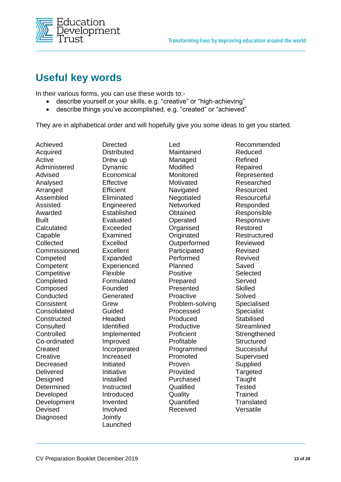

## **Useful key words**

In their various forms, you can use these words to:-

- describe yourself or your skills, e.g. "creative" or "high-achieving"
- describe things you've accomplished, e.g. "created" or "achieved"

They are in alphabetical order and will hopefully give you some ideas to get you started.

Achieved Acquired Active Administered Advised Analysed Arranged Assembled Assisted Awarded Built **Calculated** Capable **Collected** Commissioned **Competed Competent Competitive Completed** Composed **Conducted Consistent Consolidated Constructed Consulted Controlled** Co-ordinated **Created Creative** Decreased Delivered **Designed Determined** Developed Development **Devised** Diagnosed

**Directed Distributed** Drew up Dynamic Economical **Effective Efficient Eliminated** Engineered Established Evaluated Exceeded Examined Excelled **Excellent** Expanded Experienced Flexible Formulated Founded Generated Grew Guided **Headed** Identified Implemented Improved Incorporated Increased Initiated Initiative Installed **Instructed** Introduced Invented Involved **Jointly** 

Launched

Led Maintained Managed Modified Monitored **Motivated** Navigated **Negotiated Networked Obtained** Operated **Organised Originated Outperformed** Participated Performed Planned Positive Prepared Presented Proactive Problem-solving Processed Produced **Productive Proficient** Profitable Programmed Promoted Proven Provided Purchased **Qualified Quality Quantified** Received

Recommended Reduced Refined Repaired Represented Researched Resourced **Resourceful** Responded Responsible **Responsive** Restored Restructured Reviewed Revised Revived Saved **Selected** Served **Skilled** Solved Specialised **Specialist Stabilised Streamlined Strengthened Structured Successful Supervised Supplied** Targeted **Taught Tested Trained Translated** Versatile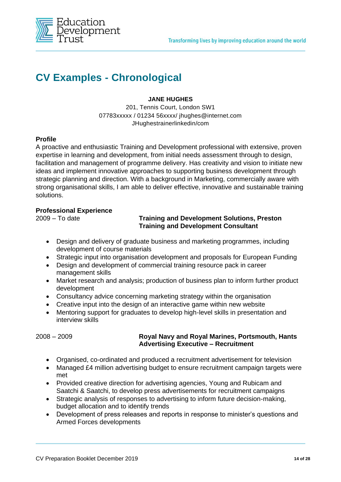

## **CV Examples - Chronological**

#### **JANE HUGHES**

201, Tennis Court, London SW1 07783xxxxx / 01234 56xxxx/ jhughes@internet.com JHughestrainerlinkedin/com

#### **Profile**

A proactive and enthusiastic Training and Development professional with extensive, proven expertise in learning and development, from initial needs assessment through to design, facilitation and management of programme delivery. Has creativity and vision to initiate new ideas and implement innovative approaches to supporting business development through strategic planning and direction. With a background in Marketing, commercially aware with strong organisational skills, I am able to deliver effective, innovative and sustainable training solutions.

#### **Professional Experience**

#### 2009 – To date **Training and Development Solutions, Preston Training and Development Consultant**

- Design and delivery of graduate business and marketing programmes, including development of course materials
- Strategic input into organisation development and proposals for European Funding
- Design and development of commercial training resource pack in career management skills
- Market research and analysis; production of business plan to inform further product development
- Consultancy advice concerning marketing strategy within the organisation
- Creative input into the design of an interactive game within new website
- Mentoring support for graduates to develop high-level skills in presentation and interview skills

#### 2008 – 2009 **Royal Navy and Royal Marines, Portsmouth, Hants Advertising Executive – Recruitment**

- Organised, co-ordinated and produced a recruitment advertisement for television
- Managed £4 million advertising budget to ensure recruitment campaign targets were met
- Provided creative direction for advertising agencies, Young and Rubicam and Saatchi & Saatchi, to develop press advertisements for recruitment campaigns
- Strategic analysis of responses to advertising to inform future decision-making, budget allocation and to identify trends
- Development of press releases and reports in response to minister's questions and Armed Forces developments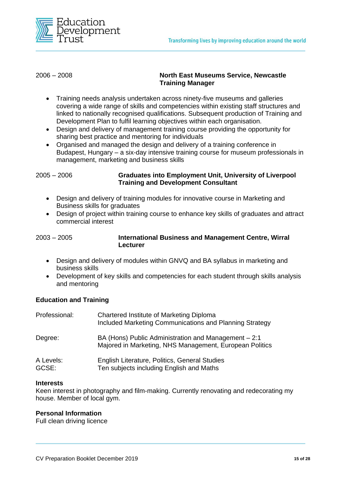

#### 2006 – 2008 **North East Museums Service, Newcastle Training Manager**

- Training needs analysis undertaken across ninety-five museums and galleries covering a wide range of skills and competencies within existing staff structures and linked to nationally recognised qualifications. Subsequent production of Training and Development Plan to fulfil learning objectives within each organisation.
- Design and delivery of management training course providing the opportunity for sharing best practice and mentoring for individuals
- Organised and managed the design and delivery of a training conference in Budapest, Hungary – a six-day intensive training course for museum professionals in management, marketing and business skills

2005 – 2006 **Graduates into Employment Unit, University of Liverpool Training and Development Consultant** 

- Design and delivery of training modules for innovative course in Marketing and Business skills for graduates
- Design of project within training course to enhance key skills of graduates and attract commercial interest

| $2003 - 2005$ | <b>International Business and Management Centre, Wirral</b> |
|---------------|-------------------------------------------------------------|
|               | Lecturer                                                    |

- Design and delivery of modules within GNVQ and BA syllabus in marketing and business skills
- Development of key skills and competencies for each student through skills analysis and mentoring

#### **Education and Training**

| Professional:      | Chartered Institute of Marketing Diploma<br>Included Marketing Communications and Planning Strategy             |
|--------------------|-----------------------------------------------------------------------------------------------------------------|
| Degree:            | BA (Hons) Public Administration and Management - 2:1<br>Majored in Marketing, NHS Management, European Politics |
| A Levels:<br>GCSE: | English Literature, Politics, General Studies<br>Ten subjects including English and Maths                       |

#### **Interests**

Keen interest in photography and film-making. Currently renovating and redecorating my house. Member of local gym.

#### **Personal Information**

Full clean driving licence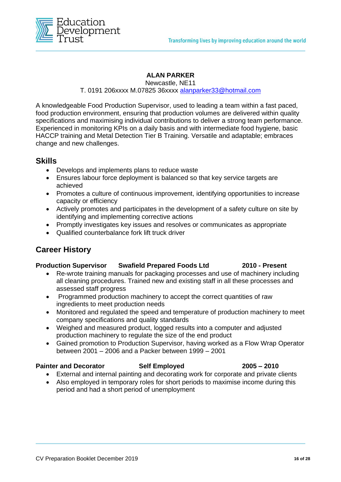

#### **ALAN PARKER**

Newcastle, NE11 T. 0191 206xxxx M.07825 36xxxx [alanparker33@hotmail.com](mailto:alanparker33@hotmail.com)

A knowledgeable Food Production Supervisor, used to leading a team within a fast paced, food production environment, ensuring that production volumes are delivered within quality specifications and maximising individual contributions to deliver a strong team performance. Experienced in monitoring KPIs on a daily basis and with intermediate food hygiene, basic HACCP training and Metal Detection Tier B Training. Versatile and adaptable; embraces change and new challenges.

#### **Skills**

- Develops and implements plans to reduce waste
- Ensures labour force deployment is balanced so that key service targets are achieved
- Promotes a culture of continuous improvement, identifying opportunities to increase capacity or efficiency
- Actively promotes and participates in the development of a safety culture on site by identifying and implementing corrective actions
- Promptly investigates key issues and resolves or communicates as appropriate
- Qualified counterbalance fork lift truck driver

### **Career History**

#### **Production Supervisor Swafield Prepared Foods Ltd 2010 - Present**

- Re-wrote training manuals for packaging processes and use of machinery including all cleaning procedures. Trained new and existing staff in all these processes and assessed staff progress
- Programmed production machinery to accept the correct quantities of raw ingredients to meet production needs
- Monitored and regulated the speed and temperature of production machinery to meet company specifications and quality standards
- Weighed and measured product, logged results into a computer and adjusted production machinery to regulate the size of the end product
- Gained promotion to Production Supervisor, having worked as a Flow Wrap Operator between 2001 – 2006 and a Packer between 1999 – 2001

#### **Painter and Decorator Self Employed 2005 – 2010**

- External and internal painting and decorating work for corporate and private clients
- Also employed in temporary roles for short periods to maximise income during this period and had a short period of unemployment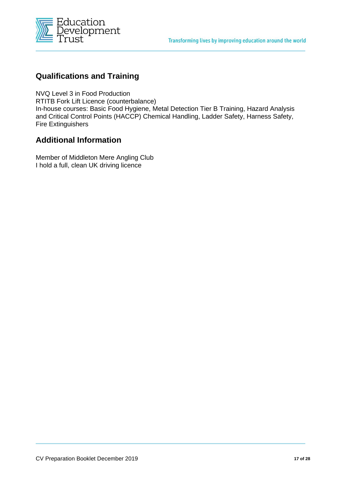

### **Qualifications and Training**

NVQ Level 3 in Food Production RTITB Fork Lift Licence (counterbalance) In-house courses: Basic Food Hygiene, Metal Detection Tier B Training, Hazard Analysis and Critical Control Points (HACCP) Chemical Handling, Ladder Safety, Harness Safety, Fire Extinguishers

### **Additional Information**

Member of Middleton Mere Angling Club I hold a full, clean UK driving licence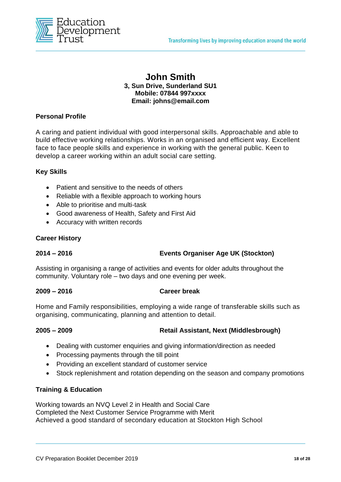

#### **John Smith 3, Sun Drive, Sunderland SU1 Mobile: 07844 997xxxx Email: johns@email.com**

#### **Personal Profile**

A caring and patient individual with good interpersonal skills. Approachable and able to build effective working relationships. Works in an organised and efficient way. Excellent face to face people skills and experience in working with the general public. Keen to develop a career working within an adult social care setting.

#### **Key Skills**

- Patient and sensitive to the needs of others
- Reliable with a flexible approach to working hours
- Able to prioritise and multi-task
- Good awareness of Health, Safety and First Aid
- Accuracy with written records

#### **Career History**

#### **2014 – 2016 Events Organiser Age UK (Stockton)**

Assisting in organising a range of activities and events for older adults throughout the community. Voluntary role – two days and one evening per week.

#### **2009 – 2016 Career break**

Home and Family responsibilities, employing a wide range of transferable skills such as organising, communicating, planning and attention to detail.

#### **2005 – 2009 Retail Assistant, Next (Middlesbrough)**

- Dealing with customer enquiries and giving information/direction as needed
- Processing payments through the till point
- Providing an excellent standard of customer service
- Stock replenishment and rotation depending on the season and company promotions

#### **Training & Education**

Working towards an NVQ Level 2 in Health and Social Care Completed the Next Customer Service Programme with Merit Achieved a good standard of secondary education at Stockton High School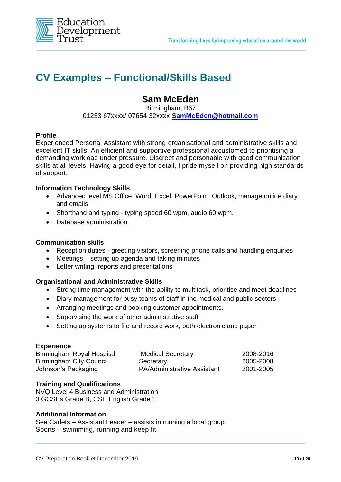

## **CV Examples – Functional/Skills Based**

### **Sam McEden**

Birmingham, B67 01233 67xxxx/ 07654 32xxxx **[SamMcEden@hotmail.com](mailto:SamMcEden@hotmail.com)**

#### **Profile**

Experienced Personal Assistant with strong organisational and administrative skills and excellent IT skills. An efficient and supportive professional accustomed to prioritising a demanding workload under pressure. Discreet and personable with good communication skills at all levels. Having a good eye for detail, I pride myself on providing high standards of support.

#### **Information Technology Skills**

- Advanced level MS Office: Word, Excel, PowerPoint, Outlook, manage online diary and emails
- Shorthand and typing typing speed 60 wpm, audio 60 wpm.
- Database administration

#### **Communication skills**

- Reception duties greeting visitors, screening phone calls and handling enquiries
- Meetings setting up agenda and taking minutes
- Letter writing, reports and presentations

#### **Organisational and Administrative Skills**

- Strong time management with the ability to multitask, prioritise and meet deadlines
- Diary management for busy teams of staff in the medical and public sectors.
- Arranging meetings and booking customer appointments.
- Supervising the work of other administrative staff
- Setting up systems to file and record work, both electronic and paper

#### **Experience**

| Birmingham Royal Hospital | <b>Medical Secretary</b>           | 2008-2016 |
|---------------------------|------------------------------------|-----------|
| Birmingham City Council   | Secretary                          | 2005-2008 |
| Johnson's Packaging       | <b>PA/Administrative Assistant</b> | 2001-2005 |

#### **Training and Qualifications**

NVQ Level 4 Business and Administration 3 GCSEs Grade B, CSE English Grade 1

#### **Additional Information**

Sea Cadets – Assistant Leader – assists in running a local group. Sports – swimming, running and keep fit.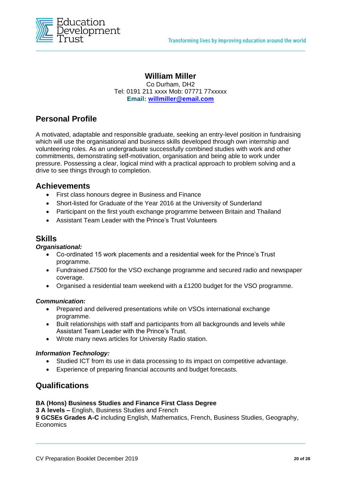

#### **William Miller**

Co Durham, DH2 Tel: 0191 211 xxxx Mob: 07771 77xxxxx **Email: [willmiller@email.com](mailto:willmiller@email.com)**

### **Personal Profile**

A motivated, adaptable and responsible graduate, seeking an entry-level position in fundraising which will use the organisational and business skills developed through own internship and volunteering roles. As an undergraduate successfully combined studies with work and other commitments, demonstrating self-motivation, organisation and being able to work under pressure. Possessing a clear, logical mind with a practical approach to problem solving and a drive to see things through to completion.

#### **Achievements**

- First class honours degree in Business and Finance
- Short-listed for Graduate of the Year 2016 at the University of Sunderland
- Participant on the first youth exchange programme between Britain and Thailand
- Assistant Team Leader with the Prince's Trust Volunteers

#### **Skills**

#### *Organisational:*

- Co-ordinated 15 work placements and a residential week for the Prince's Trust programme.
- Fundraised £7500 for the VSO exchange programme and secured radio and newspaper coverage.
- Organised a residential team weekend with a £1200 budget for the VSO programme.

#### *Communication:*

- Prepared and delivered presentations while on VSOs international exchange programme.
- Built relationships with staff and participants from all backgrounds and levels while Assistant Team Leader with the Prince's Trust.
- Wrote many news articles for University Radio station.

#### *Information Technology:*

- Studied ICT from its use in data processing to its impact on competitive advantage.
- Experience of preparing financial accounts and budget forecasts.

#### **Qualifications**

#### **BA (Hons) Business Studies and Finance First Class Degree**

**3 A levels –** English, Business Studies and French

**9 GCSEs Grades A-C** including English, Mathematics, French, Business Studies, Geography, **Economics**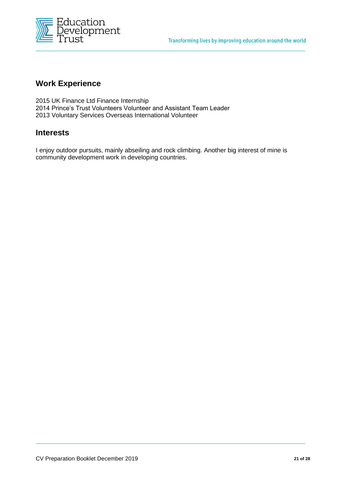

#### **Work Experience**

2015 UK Finance Ltd Finance Internship 2014 Prince's Trust Volunteers Volunteer and Assistant Team Leader 2013 Voluntary Services Overseas International Volunteer

#### **Interests**

I enjoy outdoor pursuits, mainly abseiling and rock climbing. Another big interest of mine is community development work in developing countries.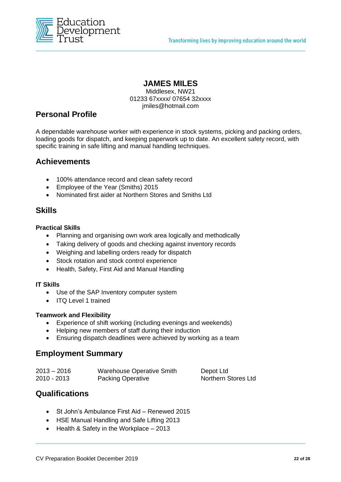

### **JAMES MILES**

Middlesex, NW21 01233 67xxxx/ 07654 32xxxx jmiles@hotmail.com

## **Personal Profile**

A dependable warehouse worker with experience in stock systems, picking and packing orders, loading goods for dispatch, and keeping paperwork up to date. An excellent safety record, with specific training in safe lifting and manual handling techniques.

#### **Achievements**

- 100% attendance record and clean safety record
- Employee of the Year (Smiths) 2015
- Nominated first aider at Northern Stores and Smiths Ltd

#### **Skills**

#### **Practical Skills**

- Planning and organising own work area logically and methodically
- Taking delivery of goods and checking against inventory records
- Weighing and labelling orders ready for dispatch
- Stock rotation and stock control experience
- Health, Safety, First Aid and Manual Handling

#### **IT Skills**

- Use of the SAP Inventory computer system
- ITQ Level 1 trained

#### **Teamwork and Flexibility**

- Experience of shift working (including evenings and weekends)
- Helping new members of staff during their induction
- Ensuring dispatch deadlines were achieved by working as a team

### **Employment Summary**

| $2013 - 2016$ | Warehouse Operative Smith | Depot Ltd           |
|---------------|---------------------------|---------------------|
| 2010 - 2013   | <b>Packing Operative</b>  | Northern Stores Ltd |

### **Qualifications**

- St John's Ambulance First Aid Renewed 2015
- HSE Manual Handling and Safe Lifting 2013
- Health & Safety in the Workplace 2013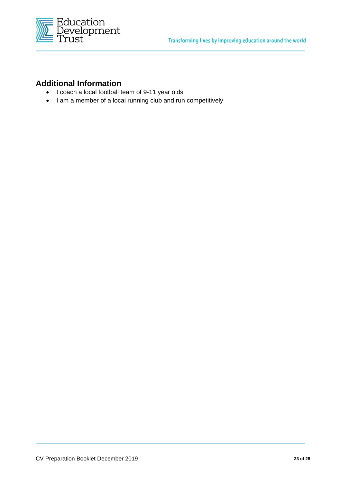

### **Additional Information**

- I coach a local football team of 9-11 year olds
- I am a member of a local running club and run competitively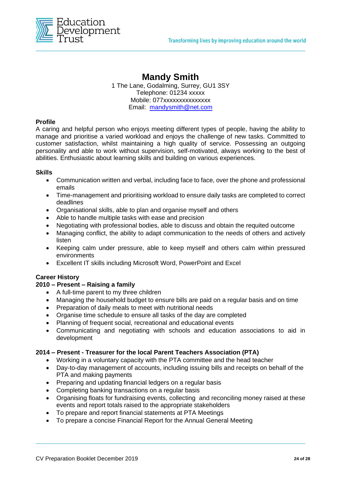

## **Mandy Smith**

1 The Lane, Godalming, Surrey, GU1 3SY Telephone: 01234 xxxxx Mobile: 077xxxxxxxxxxxxx Email: [mandysmith@net.com](mailto:mandysmith@net.com)

#### **Profile**

A caring and helpful person who enjoys meeting different types of people, having the ability to manage and prioritise a varied workload and enjoys the challenge of new tasks. Committed to customer satisfaction, whilst maintaining a high quality of service. Possessing an outgoing personality and able to work without supervision, self-motivated, always working to the best of abilities. Enthusiastic about learning skills and building on various experiences.

#### **Skills**

- Communication written and verbal, including face to face, over the phone and professional emails
- Time-management and prioritising workload to ensure daily tasks are completed to correct deadlines
- Organisational skills, able to plan and organise myself and others
- Able to handle multiple tasks with ease and precision
- Negotiating with professional bodies, able to discuss and obtain the requited outcome
- Managing conflict, the ability to adapt communication to the needs of others and actively listen
- Keeping calm under pressure, able to keep myself and others calm within pressured environments
- Excellent IT skills including Microsoft Word, PowerPoint and Excel

#### **Career History**

#### **2010 – Present – Raising a family**

- A full-time parent to my three children
- Managing the household budget to ensure bills are paid on a regular basis and on time
- Preparation of daily meals to meet with nutritional needs
- Organise time schedule to ensure all tasks of the day are completed
- Planning of frequent social, recreational and educational events
- Communicating and negotiating with schools and education associations to aid in development

#### **2014 – Present - Treasurer for the local Parent Teachers Association (PTA)**

- Working in a voluntary capacity with the PTA committee and the head teacher
- Day-to-day management of accounts, including issuing bills and receipts on behalf of the PTA and making payments
- Preparing and updating financial ledgers on a regular basis
- Completing banking transactions on a regular basis
- Organising floats for fundraising events, collecting and reconciling money raised at these events and report totals raised to the appropriate stakeholders
- To prepare and report financial statements at PTA Meetings
- To prepare a concise Financial Report for the Annual General Meeting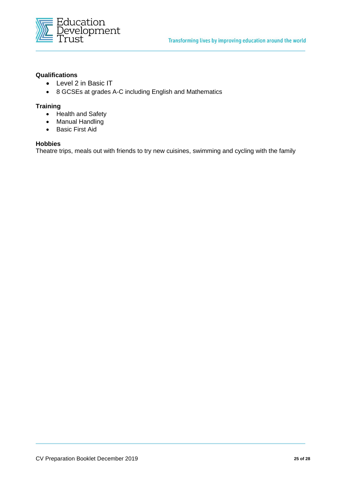

#### **Qualifications**

- Level 2 in Basic IT
- 8 GCSEs at grades A-C including English and Mathematics

#### **Training**

- Health and Safety
- Manual Handling
- Basic First Aid

#### **Hobbies**

Theatre trips, meals out with friends to try new cuisines, swimming and cycling with the family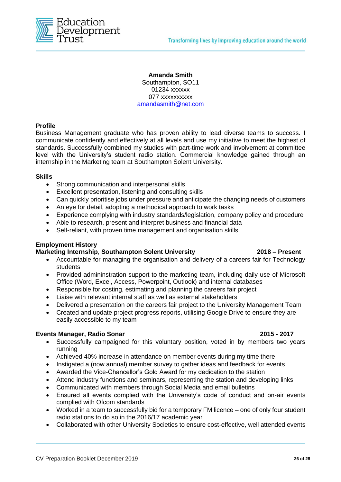

**Amanda Smith** Southampton, SO11 01234 xxxxxx 077 xxxxxxxxxx [amandasmith@net.com](mailto:amandasmith@net.com)

#### **Profile**

Business Management graduate who has proven ability to lead diverse teams to success. I communicate confidently and effectively at all levels and use my initiative to meet the highest of standards. Successfully combined my studies with part-time work and involvement at committee level with the University's student radio station. Commercial knowledge gained through an internship in the Marketing team at Southampton Solent University.

#### **Skills**

- Strong communication and interpersonal skills
- Excellent presentation, listening and consulting skills
- Can quickly prioritise jobs under pressure and anticipate the changing needs of customers
- An eye for detail, adopting a methodical approach to work tasks
- Experience complying with industry standards/legislation, company policy and procedure
- Able to research, present and interpret business and financial data
- Self-reliant, with proven time management and organisation skills

#### **Employment History**

#### **Marketing Internship**, **Southampton Solent University 2018 – Present**

- Accountable for managing the organisation and delivery of a careers fair for Technology students
- Provided admininstration support to the marketing team, including daily use of Microsoft Office (Word, Excel, Access, Powerpoint, Outlook) and internal databases
- Responsible for costing, estimating and planning the careers fair project
- Liaise with relevant internal staff as well as external stakeholders
- Delivered a presentation on the careers fair project to the University Management Team
- Created and update project progress reports, utilising Google Drive to ensure they are easily accessible to my team

#### **Events Manager, Radio Sonar 2015 - 2017**

- Successfully campaigned for this voluntary position, voted in by members two years running
- Achieved 40% increase in attendance on member events during my time there
- Instigated a (now annual) member survey to gather ideas and feedback for events
- Awarded the Vice-Chancellor's Gold Award for my dedication to the station
- Attend industry functions and seminars, representing the station and developing links
- Communicated with members through Social Media and email bulletins
- Ensured all events complied with the University's code of conduct and on-air events complied with Ofcom standards
- Worked in a team to successfully bid for a temporary FM licence one of only four student radio stations to do so in the 2016/17 academic year
- Collaborated with other University Societies to ensure cost-effective, well attended events